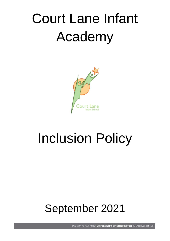# Court Lane Infant Academy



## Inclusion Policy

### September 2021

Proud to be part of the UNIVERSITY OF CHICHESTER ACADEMY TRUST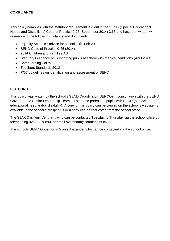#### **COMPLIANCE**

This policy complies with the statutory requirement laid out in the SEND (Special Educational Needs and Disabilities) Code of Practice 0-25 (September 2014) 3.65 and has been written with reference to the following guidance and documents:

- Equality Act 2010: advice for schools DfE Feb 2013
- SEND Code of Practice 0-25 (2014)
- 2014 Children and Families Act
- Statutory Guidance on Supporting pupils at school with medical conditions (April 2014)
- Safeguarding Policy
- Teachers Standards 2012
- PCC guidelines on identification and assessment of SEND

#### **SECTION 1**

This policy was written by the school's SEND Coordinator (SENCO) in consultation with the SEND Governor, the Senior Leadership Team, all staff and parents of pupils with SEND (a special educational need and/or disability). A copy of this policy can be viewed on the school's website, is available in the school's prospectus or a copy can be requested from the school office.

The SENCO is Amy Ventham, who can be contacted Tuesday to Thursday via the school office by telephoning 02392 378890, or email aventham@courtlaneinf.co.uk

The schools SEND Governor is Glynis Alexander who can be contacted via the school office.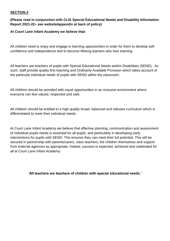#### **(Please read in conjunction with CLIS Special Educational Needs and Disability Information Report 2021-22– see website/appendix at back of policy)**

#### **At Court Lane Infant Academy we believe that:**

All children need to enjoy and engage in learning opportunities in order for them to develop selfconfidence and independence and to become lifelong learners who love learning.

All teachers are teachers of pupils with Special Educational Needs and/or Disabilities (SEND). As such, staff provide quality first teaching and Ordinarily Available Provision which takes account of the particular individual needs of pupils with SEND within the classroom.

All children should be provided with equal opportunities in an inclusive environment where everyone can feel valued, respected and safe.

All children should be entitled to a high quality broad, balanced and relevant curriculum which is differentiated to meet their individual needs.

At Court Lane Infant Academy we believe that effective planning, communication and assessment of individual pupils needs is essential for all pupils, and particularly in developing early interventions for pupils with SEND. This ensures they can meet their full potential. This will be secured in partnership with parents/carers, class teachers, the children themselves and support from external agencies as appropriate. Indeed, success is expected, achieved and celebrated for all at Court Lane Infant Academy.

**'All teachers are teachers of children with special educational needs.'**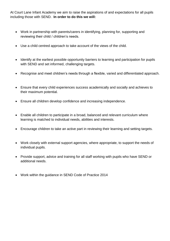At Court Lane Infant Academy we aim to raise the aspirations of and expectations for all pupils including those with SEND. **In order to do this we will:**

- Work in partnership with parents/carers in identifying, planning for, supporting and reviewing their child / children's needs.
- Use a child centred approach to take account of the views of the child.
- Identify at the earliest possible opportunity barriers to learning and participation for pupils with SEND and set informed, challenging targets.
- Recognise and meet children's needs through a flexible, varied and differentiated approach.
- Ensure that every child experiences success academically and socially and achieves to their maximum potential.
- Ensure all children develop confidence and increasing independence.
- Enable all children to participate in a broad, balanced and relevant curriculum where learning is matched to individual needs, abilities and interests.
- Encourage children to take an active part in reviewing their learning and setting targets.
- Work closely with external support agencies, where appropriate, to support the needs of individual pupils.
- Provide support, advice and training for all staff working with pupils who have SEND or additional needs.
- Work within the guidance in SEND Code of Practice 2014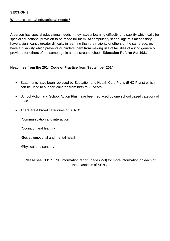#### **What are special educational needs?**

A person has special educational needs if they have a learning difficulty or disability which calls for special educational provision to be made for them. At compulsory school age this means they have a significantly greater difficulty in learning than the majority of others of the same age, or, have a disability which prevents or hinders them from making use of facilities of a kind generally provided for others of the same age in a mainstream school. **Education Reform Act 1981**

#### **Headlines from the 2014 Code of Practice from September 2014:**

- Statements have been replaced by Education and Health Care Plans (EHC Plans) which can be used to support children from birth to 25 years.
- School Action and School Action Plus have been replaced by one school based category of need.
- There are 4 broad categories of SEND:

\*Communication and interaction

- \*Cognition and learning
- \*Social, emotional and mental health
- \*Physical and sensory

Please see CLIS SEND information report (pages 2-3) for more information on each of these aspects of SEND.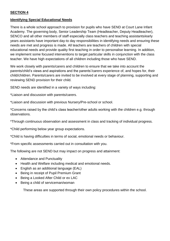#### **Identifying Special Educational Needs**

There is a whole school approach to provision for pupils who have SEND at Court Lane Infant Academy. The governing body, Senior Leadership Team (Headteacher, Deputy Headteacher), SENCO and all other members of staff especially class teachers and teaching assistants/early years assistants have important day-to day responsibilities in identifying needs and ensuring these needs are met and progress is made. All teachers are teachers of children with special educational needs and provide quality first teaching in order to personalise learning. In addition, we implement some focused interventions to target particular skills in conjunction with the class teacher. We have high expectations of all children including those who have SEND.

We work closely with parents/carers and children to ensure that we take into account the parents/child's views and aspirations and the parents'/carers experience of, and hopes for, their child/children. Parents/carers are invited to be involved at every stage of planning, supporting and reviewing SEND provision for their child.

SEND needs are identified in a variety of ways including:

\*Liaison and discussion with parents/carers.

\*Liaison and discussion with previous Nursery/Pre-school or school.

\*Concerns raised by the child's class teacher/other adults working with the children e.g. through observations.

\*Through continuous observation and assessment in class and tracking of individual progress.

\*Child performing below year group expectations.

\*Child is having difficulties in terms of social, emotional needs or behaviour.

\*From specific assessments carried out in consultation with you.

The following are not SEND but may impact on progress and attainment:

- Attendance and Punctuality
- Health and Welfare including medical and emotional needs.
- English as an additional language (EAL)
- Being in receipt of Pupil Premium Grant
- Being a Looked After Child or ex LAC
- Being a child of serviceman/woman

These areas are supported through their own policy procedures within the school.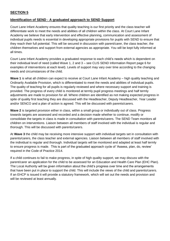#### **Identification of SEND - A graduated approach to SEND Support**

Court Lane Infant Academy ensures that quality teaching is our first priority and the class teacher will differentiate work to meet the needs and abilities of all children within the class. At Court Lane Infant Academy we believe that early intervention and effective planning, communication and assessment of individual pupils needs is essential in developing appropriate provisions for pupils with SEND to ensure that they reach their full potential. This will be secured in discussion with parent/carer, the class teacher, the children themselves and support from external agencies as appropriate. You will be kept fully informed at all times.

Court Lane Infant Academy provides a graduated response to each child's needs which is dependent on their individual level of need (called Wave 1, 2 and 3 – see CLIS SEND Information Report page 6 for examples of interventions at each level). Levels of support may vary over time according to the changing needs and circumstances of the child.

**Wave 1** is what all children can expect to receive at Court Lane Infant Academy – high quality teaching and Ordinarily Available Provision, which is differentiated to meet the needs and abilities of individual pupils. The quality of teaching for all pupils is regularly reviewed and where necessary support and training is provided. The progress of every child is monitored at termly pupil progress meetings and half termly adjustments are made to provision for all. Where children are identified as not making expected progress in spite of quality first teaching they are discussed with the Headteacher, Deputy Headteacher, Year Leader and/or SENCO and a plan of action is agreed. This will be discussed with parents/carers.

**Wave 2** is targeted provision either in class, within a small group or individually out of class. Progress towards targets are assessed and recorded and a decision made whether to continue, modify or consolidate the targets in class is made in consultation with parents/carers. The SEND Team monitors all children on interventions. Liaison between all members of staff involved with the individual is regular and thorough. This will be discussed with parents/carers.

At **Wave 3** the child may be receiving more intensive support with individual targets set in consultation with parents/carers, the class teacher and external agencies. Liaison between all members of staff involved with the individual is regular and thorough. Individual targets will be monitored and adapted at least half termly to ensure progress is made. This is part of the graduated approach cycle of 'Assess, plan, do, review' required in the Code of Practice 2014.

If a child continues to fail to make progress, in spite of high quality support, we may discuss with the parent/carer an application for the child to be assessed for an Education and Health Care Plan (EHC Plan). The Local Authority will be given information about the child's progress over time and the arrangements that have been put in place to support the child. This will include the views of the child and parents/carers. If an EHCP is issued it will provide a statutory framework, which will set out the needs and provision and will be reviewed at least annually.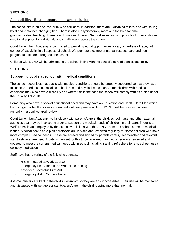#### **Accessibility - Equal opportunities and inclusion**

The school site is on one level with wide corridors. In addition, there are 2 disabled toilets, one with ceiling hoist and motorised changing bed. There is also a physiotherapy room and facilities for small group/individual teaching. There is an Emotional Literacy Support Assistant who provides further additional emotional support for individuals and small groups across the school.

Court Lane Infant Academy is committed to providing equal opportunities for all, regardless of race, faith, gender of capability in all aspects of school. We promote a culture of mutual respect, care and nonjudgmental attitude throughout the school.

Children with SEND will be admitted to the school in line with the school's agreed admissions policy.

#### **SECTION 7**

#### **Supporting pupils at school with medical conditions**

The school recognises that pupils with medical conditions should be properly supported so that they have full access to education, including school trips and physical education. Some children with medical conditions may also have a disability and where this is the case the school will comply with its duties under the Equality Act 2010.

Some may also have a special educational need and may have an Education and Health Care Plan which brings together health, social care and educational provision. An EHC Plan will be reviewed at least annually in a pupil centred review.

Court Lane Infant Academy works closely with parents/carers, the child, school nurse and other external agencies that may be involved in order to support the medical needs of children in their care. There is a Welfare Assistant employed by the school who liaises with the SEND Team and school nurse on medical issues. Medical health care plan / protocols are in place and reviewed regularly for some children who have more complex medical needs. These are agreed and signed by parents/carers, Headteacher and relevant staff to show agreement. A date is then set for this to be reviewed. Training is regularly reviewed and updated to meet the current medical needs within school including training refreshers for e.g. epi-pen use / epilepsy medication.

Staff have had a variety of the following courses:

- H.S.E. First Aid at Work Course
- Emergency First Aider in the Workplace training
- Advanced Paediatric First Aid
- Emergency Aid in Schools training

Asthma inhalers are kept in the child's classroom so they are easily accessible. Their use will be monitored and discussed with welfare assistant/parent/carer if the child is using more than normal.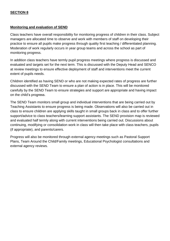#### **Monitoring and evaluation of SEND**

Class teachers have overall responsibility for monitoring progress of children in their class. Subject managers are allocated time to observe and work with members of staff on developing their practice to ensure all pupils make progress through quality first teaching / differentiated planning. Moderation of work regularly occurs in year group teams and across the school as part of monitoring progress.

In addition class teachers have termly pupil progress meetings where progress is discussed and evaluated and targets set for the next term. This is discussed with the Deputy Head and SENCO at review meetings to ensure effective deployment of staff and interventions meet the current extent of pupils needs.

Children identified as having SEND or who are not making expected rates of progress are further discussed with the SEND Team to ensure a plan of action is in place. This will be monitored carefully by the SEND Team to ensure strategies and support are appropriate and having impact on the child's progress.

The SEND Team monitors small group and individual interventions that are being carried out by Teaching Assistants to ensure progress is being made. Observations will also be carried out in class to ensure children are applying skills taught in small groups back in class and to offer further support/advice to class teachers/learning support assistants. The SEND provision map is reviewed and evaluated half termly along with current interventions being carried out. Discussions about continuing, modifying or consolidation work in class will then take place with class teachers, pupils (if appropriate), and parents/carers.

Progress will also be monitored through external agency meetings such as Pastoral Support Plans, Team Around the Child/Family meetings, Educational Psychologist consultations and external agency reviews.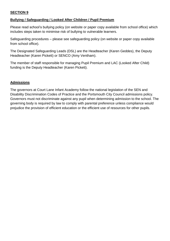#### **Bullying / Safeguarding / Looked After Children / Pupil Premium**

Please read school's bullying policy (on website or paper copy available from school office) which includes steps taken to minimise risk of bullying to vulnerable learners.

Safeguarding procedures – please see safeguarding policy (on website or paper copy available from school office).

The Designated Safeguarding Leads (DSL) are the Headteacher (Karen Geddes), the Deputy Headteacher (Karen Pickett) or SENCO (Amy Ventham).

The member of staff responsible for managing Pupil Premium and LAC (Looked After Child) funding is the Deputy Headteacher (Karen Pickett).

#### **Admissions**

The governors at Court Lane Infant Academy follow the national legislation of the SEN and Disability Discrimination Codes of Practice and the Portsmouth City Council admissions policy. Governors must not discriminate against any pupil when determining admission to the school. The governing body is required by law to comply with parental preference unless compliance would prejudice the provision of efficient education or the efficient use of resources for other pupils.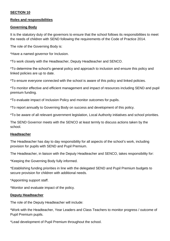#### **Roles and responsibilities**

#### **Governing Body**

It is the statutory duty of the governors to ensure that the school follows its responsibilities to meet the needs of children with SEND following the requirements of the Code of Practice 2014.

The role of the Governing Body is:

\*Have a named governor for Inclusion.

\*To work closely with the Headteacher, Deputy Headteacher and SENCO.

\*To determine the school's general policy and approach to inclusion and ensure this policy and linked policies are up to date.

\*To ensure everyone connected with the school is aware of this policy and linked policies.

\*To monitor effective and efficient management and impact of resources including SEND and pupil premium funding.

\*To evaluate impact of Inclusion Policy and monitor outcomes for pupils.

\*To report annually to Governing Body on success and development of this policy.

\*To be aware of all relevant government legislation, Local Authority initiatives and school priorities.

The SEND Governor meets with the SENCO at least termly to discuss actions taken by the school.

#### **Headteacher**

The Headteacher has day to day responsibility for all aspects of the school's work, including provision for pupils with SEND and Pupil Premium.

The Headteacher, in liaison with the Deputy Headteacher and SENCO, takes responsibility for:

\*Keeping the Governing Body fully informed.

\*Establishing funding priorities in line with the delegated SEND and Pupil Premium budgets to secure provision for children with additional needs.

\*Appointing support staff.

\*Monitor and evaluate impact of the policy.

#### **Deputy Headteacher**

The role of the Deputy Headteacher will include:

\*Work with the Headteacher, Year Leaders and Class Teachers to monitor progress / outcome of Pupil Premium pupils.

\*Lead development of Pupil Premium throughout the school.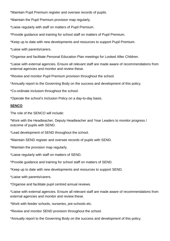\*Maintain Pupil Premium register and oversee records of pupils.

\*Maintain the Pupil Premium provision map regularly.

\*Liaise regularly with staff on matters of Pupil Premium.

\*Provide guidance and training for school staff on matters of Pupil Premium.

\*Keep up to date with new developments and resources to support Pupil Premium.

\*Liaise with parents/carers.

\*Organise and facilitate Personal Education Plan meetings for Looked After Children.

\*Liaise with external agencies. Ensure all relevant staff are made aware of recommendations from external agencies and monitor and review these.

\*Review and monitor Pupil Premium provision throughout the school.

\*Annually report to the Governing Body on the success and development of this policy.

\*Co-ordinate inclusion throughout the school.

\*Operate the school's Inclusion Policy on a day-to-day basis.

#### **SENCO**

The role of the SENCO will include:

\*Work with the Headteacher, Deputy Headteacher and Year Leaders to monitor progress / outcome of pupils with SEND.

\*Lead development of SEND throughout the school.

\*Maintain SEND register and oversee records of pupils with SEND.

\*Maintain the provision map regularly.

\*Liaise regularly with staff on matters of SEND.

\*Provide guidance and training for school staff on matters of SEND.

\*Keep up to date with new developments and resources to support SEND.

\*Liaise with parents/carers.

\*Organise and facilitate pupil centred annual reviews.

\*Liaise with external agencies. Ensure all relevant staff are made aware of recommendations from external agencies and monitor and review these.

\*Work with feeder schools, nurseries, pre-schools etc.

\*Review and monitor SEND provision throughout the school.

\*Annually report to the Governing Body on the success and development of this policy.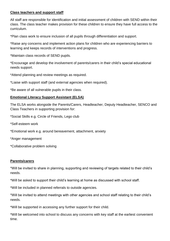#### **Class teachers and support staff**

All staff are responsible for identification and initial assessment of children with SEND within their class. The class teacher makes provision for these children to ensure they have full access to the curriculum.

\*Plan class work to ensure inclusion of all pupils through differentiation and support.

\*Raise any concerns and implement action plans for children who are experiencing barriers to learning and keeps records of interventions and progress.

\*Maintain class records of SEND pupils.

\*Encourage and develop the involvement of parents/carers in their child's special educational needs support.

\*Attend planning and review meetings as required.

\*Liaise with support staff (and external agencies when required).

\*Be aware of all vulnerable pupils in their class.

#### **Emotional Literacy Support Assistant (ELSA)**

The ELSA works alongside the Parents/Carers, Headteacher, Deputy Headteacher, SENCO and Class Teachers in supporting provision for:

\*Social Skills e.g. Circle of Friends, Lego club

\*Self-esteem work

\*Emotional work e.g. around bereavement, attachment, anxiety

\*Anger management

\*Collaborative problem solving

#### **Parents/carers**

\*Will be invited to share in planning, supporting and reviewing of targets related to their child's needs.

\*Will be asked to support their child's learning at home as discussed with school staff.

\*Will be included in planned referrals to outside agencies.

\*Will be invited to attend meetings with other agencies and school staff relating to their child's needs.

\*Will be supported in accessing any further support for their child.

\*Will be welcomed into school to discuss any concerns with key staff at the earliest convenient time.